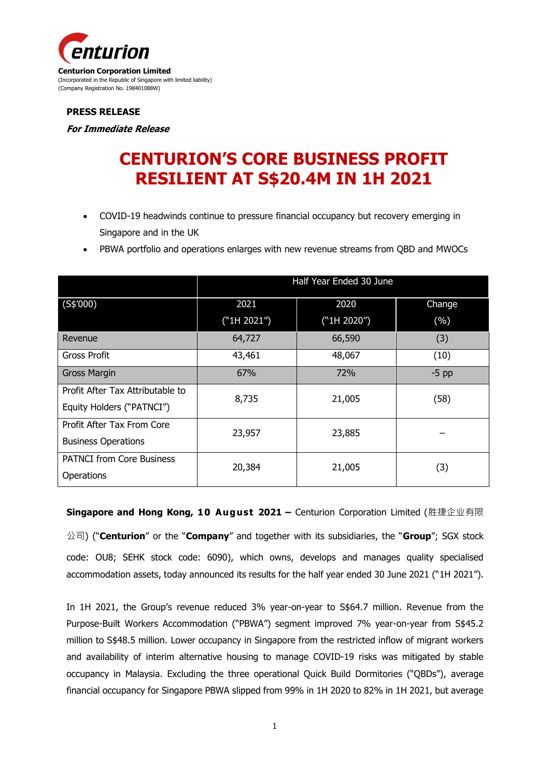

#### **PRESS RELEASE**

**For Immediate Release**

# **CENTURION'S CORE BUSINESS PROFIT RESILIENT AT S\$20.4M IN 1H 2021**

- COVID-19 headwinds continue to pressure financial occupancy but recovery emerging in Singapore and in the UK
- PBWA portfolio and operations enlarges with new revenue streams from QBD and MWOCs

|                                  | Half Year Ended 30 June |             |         |
|----------------------------------|-------------------------|-------------|---------|
| (S\$′000)                        | 2021                    | 2020        | Change  |
|                                  | ("1H 2021")             | ("1H 2020") | (%)     |
| Revenue                          | 64,727                  | 66,590      | (3)     |
| Gross Profit                     | 43,461                  | 48,067      | (10)    |
| <b>Gross Margin</b>              | 67%                     | 72%         | $-5$ pp |
| Profit After Tax Attributable to | 8,735                   | 21,005      | (58)    |
| Equity Holders ("PATNCI")        |                         |             |         |
| Profit After Tax From Core       | 23,957                  | 23,885      |         |
| <b>Business Operations</b>       |                         |             |         |
| <b>PATNCI from Core Business</b> | 20,384                  | 21,005      | (3)     |
| Operations                       |                         |             |         |

**Singapore and Hong Kong, 10 August 2021 –** Centurion Corporation Limited (胜捷企业有限

公司) ("**Centurion**" or the "**Company**" and together with its subsidiaries, the "**Group**"; SGX stock code: OU8; SEHK stock code: 6090), which owns, develops and manages quality specialised accommodation assets, today announced its results for the half year ended 30 June 2021 ("1H 2021").

In 1H 2021, the Group's revenue reduced 3% year-on-year to S\$64.7 million. Revenue from the Purpose-Built Workers Accommodation ("PBWA") segment improved 7% year-on-year from S\$45.2 million to S\$48.5 million. Lower occupancy in Singapore from the restricted inflow of migrant workers and availability of interim alternative housing to manage COVID-19 risks was mitigated by stable occupancy in Malaysia. Excluding the three operational Quick Build Dormitories ("QBDs"), average financial occupancy for Singapore PBWA slipped from 99% in 1H 2020 to 82% in 1H 2021, but average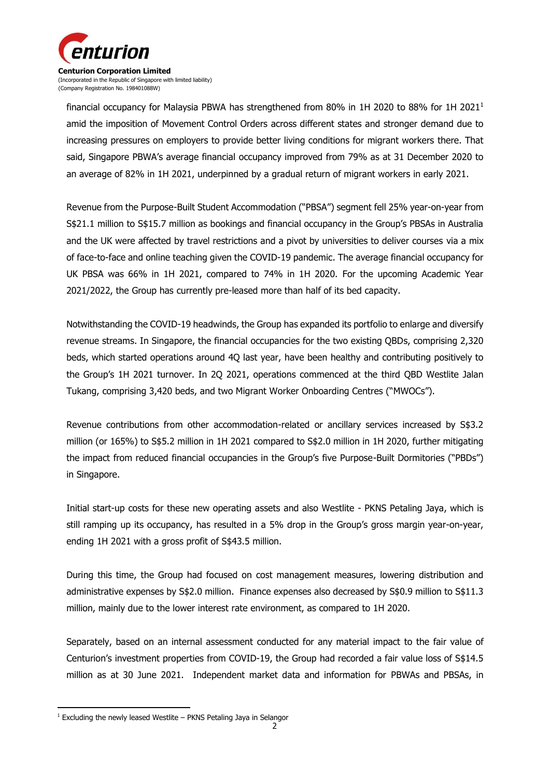

financial occupancy for Malaysia PBWA has strengthened from 80% in 1H 2020 to 88% for 1H 2021<sup>1</sup> amid the imposition of Movement Control Orders across different states and stronger demand due to increasing pressures on employers to provide better living conditions for migrant workers there. That said, Singapore PBWA's average financial occupancy improved from 79% as at 31 December 2020 to an average of 82% in 1H 2021, underpinned by a gradual return of migrant workers in early 2021.

Revenue from the Purpose-Built Student Accommodation ("PBSA") segment fell 25% year-on-year from S\$21.1 million to S\$15.7 million as bookings and financial occupancy in the Group's PBSAs in Australia and the UK were affected by travel restrictions and a pivot by universities to deliver courses via a mix of face-to-face and online teaching given the COVID-19 pandemic. The average financial occupancy for UK PBSA was 66% in 1H 2021, compared to 74% in 1H 2020. For the upcoming Academic Year 2021/2022, the Group has currently pre-leased more than half of its bed capacity.

Notwithstanding the COVID-19 headwinds, the Group has expanded its portfolio to enlarge and diversify revenue streams. In Singapore, the financial occupancies for the two existing QBDs, comprising 2,320 beds, which started operations around 4Q last year, have been healthy and contributing positively to the Group's 1H 2021 turnover. In 2Q 2021, operations commenced at the third QBD Westlite Jalan Tukang, comprising 3,420 beds, and two Migrant Worker Onboarding Centres ("MWOCs").

Revenue contributions from other accommodation-related or ancillary services increased by S\$3.2 million (or 165%) to S\$5.2 million in 1H 2021 compared to S\$2.0 million in 1H 2020, further mitigating the impact from reduced financial occupancies in the Group's five Purpose-Built Dormitories ("PBDs") in Singapore.

Initial start-up costs for these new operating assets and also Westlite - PKNS Petaling Jaya, which is still ramping up its occupancy, has resulted in a 5% drop in the Group's gross margin year-on-year, ending 1H 2021 with a gross profit of S\$43.5 million.

During this time, the Group had focused on cost management measures, lowering distribution and administrative expenses by S\$2.0 million. Finance expenses also decreased by S\$0.9 million to S\$11.3 million, mainly due to the lower interest rate environment, as compared to 1H 2020.

Separately, based on an internal assessment conducted for any material impact to the fair value of Centurion's investment properties from COVID-19, the Group had recorded a fair value loss of S\$14.5 million as at 30 June 2021. Independent market data and information for PBWAs and PBSAs, in

-

 $1$  Excluding the newly leased Westlite – PKNS Petaling Jaya in Selangor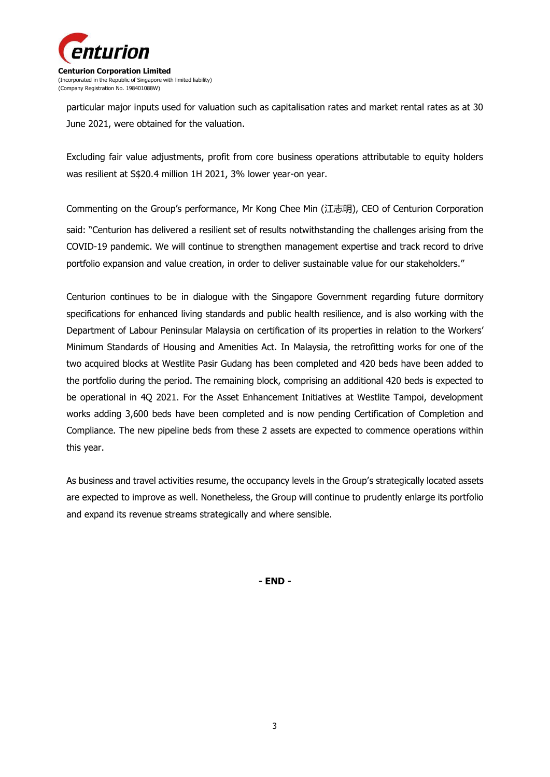

particular major inputs used for valuation such as capitalisation rates and market rental rates as at 30 June 2021, were obtained for the valuation.

Excluding fair value adjustments, profit from core business operations attributable to equity holders was resilient at S\$20.4 million 1H 2021, 3% lower year-on year.

Commenting on the Group's performance, Mr Kong Chee Min (江志明), CEO of Centurion Corporation said: "Centurion has delivered a resilient set of results notwithstanding the challenges arising from the COVID-19 pandemic. We will continue to strengthen management expertise and track record to drive portfolio expansion and value creation, in order to deliver sustainable value for our stakeholders."

Centurion continues to be in dialogue with the Singapore Government regarding future dormitory specifications for enhanced living standards and public health resilience, and is also working with the Department of Labour Peninsular Malaysia on certification of its properties in relation to the Workers' Minimum Standards of Housing and Amenities Act. In Malaysia, the retrofitting works for one of the two acquired blocks at Westlite Pasir Gudang has been completed and 420 beds have been added to the portfolio during the period. The remaining block, comprising an additional 420 beds is expected to be operational in 4Q 2021. For the Asset Enhancement Initiatives at Westlite Tampoi, development works adding 3,600 beds have been completed and is now pending Certification of Completion and Compliance. The new pipeline beds from these 2 assets are expected to commence operations within this year.

As business and travel activities resume, the occupancy levels in the Group's strategically located assets are expected to improve as well. Nonetheless, the Group will continue to prudently enlarge its portfolio and expand its revenue streams strategically and where sensible.

**- END -**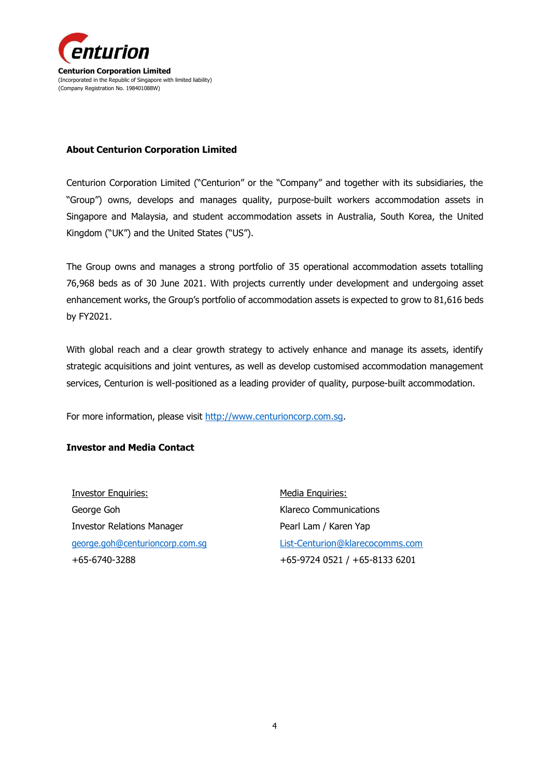

#### **About Centurion Corporation Limited**

Centurion Corporation Limited ("Centurion" or the "Company" and together with its subsidiaries, the "Group") owns, develops and manages quality, purpose-built workers accommodation assets in Singapore and Malaysia, and student accommodation assets in Australia, South Korea, the United Kingdom ("UK") and the United States ("US").

The Group owns and manages a strong portfolio of 35 operational accommodation assets totalling 76,968 beds as of 30 June 2021. With projects currently under development and undergoing asset enhancement works, the Group's portfolio of accommodation assets is expected to grow to 81,616 beds by FY2021.

With global reach and a clear growth strategy to actively enhance and manage its assets, identify strategic acquisitions and joint ventures, as well as develop customised accommodation management services, Centurion is well-positioned as a leading provider of quality, purpose-built accommodation.

For more information, please visit [http://www.centurioncorp.com.sg.](http://www.centurioncorp.com.sg/)

### **Investor and Media Contact**

Investor Enquiries: George Goh Investor Relations Manager [george.goh@centurioncorp.com.sg](mailto:george.goh@centurioncorp.com.sg) +65-6740-3288

Media Enquiries: Klareco Communications Pearl Lam / Karen Yap [List-Centurion@klarecocomms.com](mailto:List-Centurion@klarecocomms.com) +65-9724 0521 / +65-8133 6201